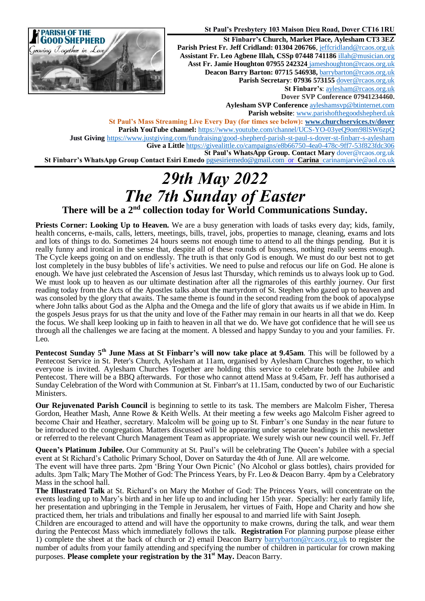

**St Paul's Presbytery 103 Maison Dieu Road, Dover CT16 1RU St Finbarr's Church, Market Place, Aylesham CT3 3EZ** Parish Priest Fr. Jeff Cridland: 01304 206766[, jeffcridland@rcaos.org.uk](mailto:jeffcridland@rcaos.org.uk) **Assistant Fr. Leo Agbene Illah, CSSp 07448 741186** [illah@musician.org](mailto:illah@musician.org) **Asst Fr. Jamie Houghton 07955 242324** [jameshoughton@rcaos.org.uk](mailto:jameshoughton@rcaos.org.uk) **Deacon Barry Barton: 07715 546938,** [barrybarton@rcaos.org.uk](mailto:barrybarton@rcaos.org.uk) **Parish Secretary**: **07936 573155** [dover@rcaos.org.uk](mailto:dover@rcaos.org.uk) **St Finbarr's**[: aylesham@rcaos.org.uk](mailto:aylesham@rcaos.org.uk) **Dover SVP Conference 07941234460. Aylesham SVP Conference** [ayleshamsvp@btinternet.com](mailto:ayleshamsvp@btinternet.com) **Parish website**: [www.parishofthegoodshepherd.uk](http://www.parishofthegoodshepherd.uk/) **St Paul's Mass Streaming Live Every Day (for times see below): [www.churchservices.tv/dover](http://www.churchservices.tv/dover) Parish YouTube channel:** <https://www.youtube.com/channel/UCS-YO-03yeQ9om98lSW6zpQ>

Give a Little <https://givealittle.co/campaigns/e8b66750-4ea0-478c-9ff7-53f823fdc306> **St Paul's WhatsApp Group. Contact Mary** [dover@rcaos.org.uk](mailto:dover@rcaos.org.uk) **St Finbarr's WhatsApp Group Contact Esiri Emedo** [pgsesiriemedo@gmail.com](mailto:pgsesiriemedo@gmail.com) or **Carina** [carinamjarvie@aol.co.uk](mailto:carinamjarvie@aol.co.uk)

**Just Giving** <https://www.justgiving.com/fundraising/good-shepherd-parish-st-paul-s-dover-st-finbarr-s-aylesham>

## *29th May 2022 The 7th Sunday of Easter* **There will be a 2 nd collection today for World Communications Sunday.**

**Priests Corner: Looking Up to Heaven.** We are a busy generation with loads of tasks every day; kids, family, health concerns, e-mails, calls, letters, meetings, bills, travel, jobs, properties to manage, cleaning, exams and lots and lots of things to do. Sometimes 24 hours seems not enough time to attend to all the things pending. But it is really funny and ironical in the sense that, despite all of these rounds of busyness, nothing really seems enough. The Cycle keeps going on and on endlessly. The truth is that only God is enough. We must do our best not to get lost completely in the busy bubbles of life's activities. We need to pulse and refocus our life on God. He alone is enough. We have just celebrated the Ascension of Jesus last Thursday, which reminds us to always look up to God. We must look up to heaven as our ultimate destination after all the rigmaroles of this earthly journey. Our first reading today from the Acts of the Apostles talks about the martyrdom of St. Stephen who gazed up to heaven and was consoled by the glory that awaits. The same theme is found in the second reading from the book of apocalypse where John talks about God as the Alpha and the Omega and the life of glory that awaits us if we abide in Him. In the gospels Jesus prays for us that the unity and love of the Father may remain in our hearts in all that we do. Keep the focus. We shall keep looking up in faith to heaven in all that we do. We have got confidence that he will see us through all the challenges we are facing at the moment. A blessed and happy Sunday to you and your families. Fr. Leo.

**Pentecost Sunday 5 th June Mass at St Finbarr's will now take place at 9.45am**. This will be followed by a Pentecost Service in St. Peter's Church, Aylesham at 11am, organised by Aylesham Churches together, to which everyone is invited. Aylesham Churches Together are holding this service to celebrate both the Jubilee and Pentecost. There will be a BBQ afterwards. For those who cannot attend Mass at 9.45am, Fr. Jeff has authorised a Sunday Celebration of the Word with Communion at St. Finbarr's at 11.15am, conducted by two of our Eucharistic Ministers.

**Our Rejuvenated Parish Council** is beginning to settle to its task. The members are Malcolm Fisher, Theresa Gordon, Heather Mash, Anne Rowe & Keith Wells. At their meeting a few weeks ago Malcolm Fisher agreed to become Chair and Heather, secretary. Malcolm will be going up to St. Finbarr's one Sunday in the near future to be introduced to the congregation. Matters discussed will be appearing under separate headings in this newsletter or referred to the relevant Church Management Team as appropriate. We surely wish our new council well. Fr. Jeff

**Queen's Platinum Jubilee.** Our Community at St. Paul's will be celebrating The Queen's Jubilee with a special event at St Richard's Catholic Primary School, Dover on Saturday the 4th of June. All are welcome.

The event will have three parts. 2pm 'Bring Your Own Picnic' (No Alcohol or glass bottles), chairs provided for adults. 3pm Talk; Mary The Mother of God: The Princess Years, by Fr. Leo & Deacon Barry. 4pm by a Celebratory Mass in the school hall.

**The Illustrated Talk** at St. Richard's on Mary the Mother of God: The Princess Years, will concentrate on the events leading up to Mary's birth and in her life up to and including her 15th year. Specially: her early family life, her presentation and upbringing in the Temple in Jerusalem, her virtues of Faith, Hope and Charity and how she practiced them, her trials and tribulations and finally her espousal to and married life with Saint Joseph.

Children are encouraged to attend and will have the opportunity to make crowns, during the talk, and wear them during the Pentecost Mass which immediately follows the talk. **Registration** For planning purpose please either 1) complete the sheet at the back of church or 2) email Deacon Barry [barrybarton@rcaos.org.uk](mailto:barrybarton@rcaos.org.uk) to register the number of adults from your family attending and specifying the number of children in particular for crown making purposes. **Please complete your registration by the 31st May.** Deacon Barry.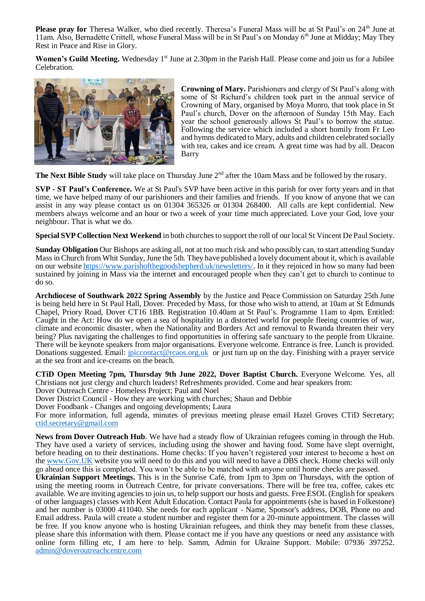Please pray for Theresa Walker, who died recently. Theresa's Funeral Mass will be at St Paul's on 24<sup>th</sup> June at 11am. Also, Bernadette Crittell, whose Funeral Mass will be in St Paul's on Monday 6th June at Midday; May They Rest in Peace and Rise in Glory.

**Women's Guild Meeting.** Wednesday 1<sup>st</sup> June at 2.30pm in the Parish Hall. Please come and join us for a Jubilee Celebration.



**Crowning of Mary.** Parishioners and clergy of St Paul's along with some of St Richard's children took part in the annual service of Crowning of Mary, organised by Moya Munro, that took place in St Paul's church, Dover on the afternoon of Sunday 15th May. Each year the school generously allows St Paul's to borrow the statue. Following the service which included a short homily from Fr Leo and hymns dedicated to Mary, adults and children celebrated socially with tea, cakes and ice cream. A great time was had by all. Deacon Barry

**The Next Bible Study** will take place on Thursday June 2<sup>nd</sup> after the 10am Mass and be followed by the rosary.

**SVP - ST Paul's Conference.** We at St Paul's SVP have been active in this parish for over forty years and in that time, we have helped many of our parishioners and their families and friends. If you know of anyone that we can assist in any way please contact us on 01304 365326 or 01304 268400. All calls are kept confidential. New members always welcome and an hour or two a week of your time much appreciated. Love your God, love your neighbour. That is what we do.

**Special SVP Collection Next Weekend** in both churches to support the roll of our local St Vincent De Paul Society.

**Sunday Obligation** Our Bishops are asking all, not at too much risk and who possibly can, to start attending Sunday Mass in Church from Whit Sunday, June the 5th. They have published a lovely document about it, which is available on our website [https://www.parishofthegoodshepherd.uk/newsletters/.](https://www.parishofthegoodshepherd.uk/newsletters/) In it they rejoiced in how so many had been sustained by joining in Mass via the internet and encouraged people when they can't get to church to continue to do so.

**Archdiocese of Southwark 2022 Spring Assembly** by the Justice and Peace Commission on Saturday 25th June is being held here in St Paul Hall, Dover. Preceded by Mass, for those who wish to attend, at 10am at St Edmunds Chapel, Priory Road, Dover CT16 1BB. Registration 10.40am at St Paul's. Programme 11am to 4pm. Entitled: Caught in the Act: How do we open a sea of hospitality in a distorted world for people fleeing countries of war, climate and economic disaster, when the Nationality and Borders Act and removal to Rwanda threaten their very being? Plus navigating the challenges to find opportunities in offering safe sanctuary to the people from Ukraine. There will be keynote speakers from major organisations. Everyone welcome. Entrance is free. Lunch is provided. Donations suggested. Email: [jpiccontact@rcaos.org.uk](mailto:jpiccontact@rcaos.org.uk) or just turn up on the day. Finishing with a prayer service at the sea front and ice-creams on the beach.

**CTiD Open Meeting 7pm, Thursday 9th June 2022, Dover Baptist Church.** Everyone Welcome. Yes, all Christians not just clergy and church leaders! Refreshments provided. Come and hear speakers from:

Dover Outreach Centre - Homeless Project; Paul and Noel

Dover District Council - How they are working with churches; Shaun and Debbie

Dover Foodbank - Changes and ongoing developments; Laura

For more information, full agenda, minutes of previous meeting please email Hazel Groves CTiD Secretary; [ctid.secretary@gmail.com](mailto:ctid.secretary@gmail.com)

**News from Dover Outreach Hub**. We have had a steady flow of Ukrainian refugees coming in through the Hub. They have used a variety of services, including using the shower and having food. Some have slept overnight, before heading on to their destinations. Home checks: If you haven't registered your interest to become a host on th[e www.Gov.UK](http://www.gov.uk/) website you will need to do this and you will need to have a DBS check. Home checks will only go ahead once this is completed. You won't be able to be matched with anyone until home checks are passed.

**Ukrainian Support Meetings.** This is in the Sunrise Café, from 1pm to 3pm on Thursdays, with the option of using the meeting rooms in Outreach Centre, for private conversations. There will be free tea, coffee, cakes etc available. We are inviting agencies to join us, to help support our hosts and guests. Free ESOL (English for speakers of other languages) classes with Kent Adult Education. Contact Paula for appointments (she is based in Folkestone) and her number is 03000 411040. She needs for each applicant - Name, Sponsor's address, DOB, Phone no and Email address. Paula will create a student number and register them for a 20-minute appointment. The classes will be free. If you know anyone who is hosting Ukrainian refugees, and think they may benefit from these classes, please share this information with them. Please contact me if you have any questions or need any assistance with online form filling etc, I am here to help. Samm, Admin for Ukraine Support. Mobile: 07936 397252. [admin@doveroutreachcentre.com](mailto:admin@doveroutreachcentre.com)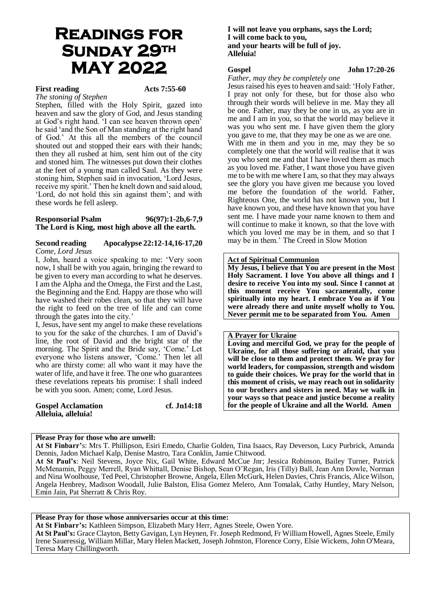# **Readings for Sunday 29th MAY 2022**

## First reading **Acts** 7:55-60

these words he fell asleep.

*The stoning of Stephen* Stephen, filled with the Holy Spirit, gazed into heaven and saw the glory of God, and Jesus standing at God's right hand. 'I can see heaven thrown open' he said 'and the Son of Man standing at the right hand of God.' At this all the members of the council shouted out and stopped their ears with their hands; then they all rushed at him, sent him out of the city and stoned him. The witnesses put down their clothes at the feet of a young man called Saul. As they were stoning him, Stephen said in invocation, 'Lord Jesus, receive my spirit.' Then he knelt down and said aloud,

## **Responsorial Psalm 96(97):1-2b,6-7,9 The Lord is King, most high above all the earth.**

'Lord, do not hold this sin against them'; and with

#### **Second reading Apocalypse 22:12-14,16-17,20**  *Come, Lord Jesus*

I, John, heard a voice speaking to me: 'Very soon now, I shall be with you again, bringing the reward to be given to every man according to what he deserves. I am the Alpha and the Omega, the First and the Last, the Beginning and the End. Happy are those who will have washed their robes clean, so that they will have the right to feed on the tree of life and can come through the gates into the city.'

I, Jesus, have sent my angel to make these revelations to you for the sake of the churches. I am of David's line, the root of David and the bright star of the morning. The Spirit and the Bride say, 'Come.' Let everyone who listens answer, 'Come.' Then let all who are thirsty come: all who want it may have the water of life, and have it free. The one who guarantees these revelations repeats his promise: I shall indeed be with you soon. Amen; come, Lord Jesus.

Gospel Acclamation cf. Jn14:18 **Alleluia, alleluia!**

## **I will not leave you orphans, says the Lord; I will come back to you, and your hearts will be full of joy. Alleluia!**

## **Gospel John 17:20-26**

## *Father, may they be completely one*

Jesus raised his eyes to heaven and said: 'Holy Father, I pray not only for these, but for those also who through their words will believe in me. May they all be one. Father, may they be one in us, as you are in me and I am in you, so that the world may believe it was you who sent me. I have given them the glory you gave to me, that they may be one as we are one. With me in them and you in me, may they be so completely one that the world will realise that it was you who sent me and that I have loved them as much as you loved me. Father, I want those you have given me to be with me where I am, so that they may always see the glory you have given me because you loved me before the foundation of the world. Father, Righteous One, the world has not known you, but I have known you, and these have known that you have sent me. I have made your name known to them and will continue to make it known, so that the love with which you loved me may be in them, and so that I may be in them.' The Creed in Slow Motion

## **Act of Spiritual Communion**

**My Jesus, I believe that You are present in the Most Holy Sacrament. I love You above all things and I desire to receive You into my soul. Since I cannot at this moment receive You sacramentally, come spiritually into my heart. I embrace You as if You were already there and unite myself wholly to You. Never permit me to be separated from You. Amen**

## **A Prayer for Ukraine**

**Loving and merciful God, we pray for the people of Ukraine, for all those suffering or afraid, that you will be close to them and protect them. We pray for world leaders, for compassion, strength and wisdom to guide their choices. We pray for the world that in this moment of crisis, we may reach out in solidarity to our brothers and sisters in need. May we walk in your ways so that peace and justice become a reality for the people of Ukraine and all the World. Amen**

## **Please Pray for those who are unwell:**

**At St Finbarr'**s: Mrs T. Phillipson, Esiri Emedo, Charlie Golden, Tina Isaacs, Ray Deverson, Lucy Purbrick, Amanda Dennis, Jadon Michael Kalp, Denise Mastro, Tara Conklin, Jamie Chitwood.

**At St Paul's**: Neil Stevens, Joyce Nix, Gail White, Edward McCue Jnr; Jessica Robinson, Bailey Turner, Patrick McMenamin, Peggy Merrell, Ryan Whittall, Denise Bishop, Sean O'Regan, Iris (Tilly) Ball, Jean Ann Dowle, Norman and Nina Woolhouse, Ted Peel, Christopher Browne, Angela, Ellen McGurk, Helen Davies, Chris Francis, Alice Wilson, Angela Henbrey, Madison Woodall, Julie Balston, Elisa Gomez Melero, Ann Tomalak, Cathy Huntley, Mary Nelson, Emin Jain, Pat Sherratt & Chris Roy.

#### **Please Pray for those whose anniversaries occur at this time:**

**At St Finbarr's:** Kathleen Simpson, Elizabeth Mary Herr, Agnes Steele, Owen Yore.

**At St Paul's:** Grace Clayton, Betty Gavigan, Lyn Heynen, Fr. Joseph Redmond, Fr William Howell, Agnes Steele, Emily Irene Saueressig, William Millar, Mary Helen Mackett, Joseph Johnston, Florence Corry, Elsie Wickens, John O'Meara, Teresa Mary Chillingworth.